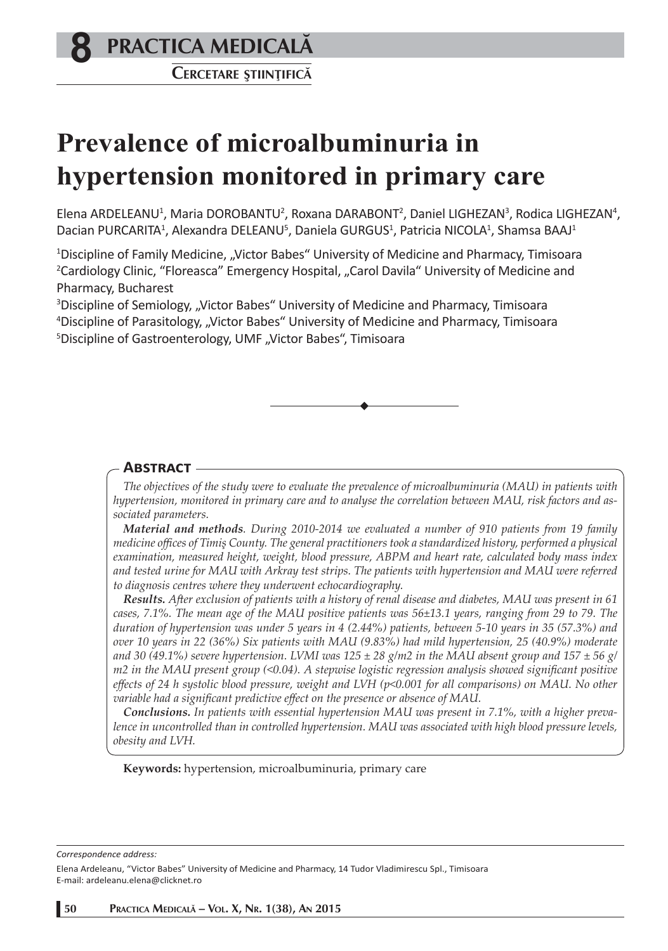**8 PRACTICA MEDICALÅ**

**CERCETARE <sup>Ş</sup>TIINºIFICÅ**

# **Prevalence of microalbuminuria in hypertension monitored in primary care**

Elena ARDELEANU<sup>1</sup>, Maria DOROBANTU<sup>2</sup>, Roxana DARABONT<sup>2</sup>, Daniel LIGHEZAN<sup>3</sup>, Rodica LIGHEZAN<sup>4</sup>, Dacian PURCARITA<sup>1</sup>, Alexandra DELEANU<sup>5</sup>, Daniela GURGUS<sup>1</sup>, Patricia NICOLA<sup>1</sup>, Shamsa BAAJ<sup>1</sup>

<sup>1</sup>Discipline of Family Medicine, "Victor Babes" University of Medicine and Pharmacy, Timisoara <sup>2</sup>Cardiology Clinic, "Floreasca" Emergency Hospital, "Carol Davila" University of Medicine and Pharmacy, Bucharest

<sup>3</sup>Discipline of Semiology, "Victor Babes" University of Medicine and Pharmacy, Timisoara <sup>4</sup>Discipline of Parasitology, "Victor Babes" University of Medicine and Pharmacy, Timisoara <sup>5</sup>Discipline of Gastroenterology, UMF "Victor Babes", Timisoara

**ABSTRACT**

*The objectives of the study were to evaluate the prevalence of microalbuminuria (MAU) in patients with hypertension, monitored in primary care and to analyse the correlation between MAU, risk factors and associated parameters.*

*Material and methods. During 2010-2014 we evaluated a number of 910 patients from 19 family medicine offi ces of Timiş County. The general practitioners took a standardized history, performed a physical examination, measured height, weight, blood pressure, ABPM and heart rate, calculated body mass index and tested urine for MAU with Arkray test strips. The patients with hypertension and MAU were referred to diagnosis centres where they underwent echocardiography.*

*Results. Aft er exclusion of patients with a history of renal disease and diabetes, MAU was present in 61 cases, 7.1%. The mean age of the MAU positive patients was 56±13.1 years, ranging from 29 to 79. The duration of hypertension was under 5 years in 4 (2.44%) patients, between 5-10 years in 35 (57.3%) and over 10 years in 22 (36%) Six patients with MAU (9.83%) had mild hypertension, 25 (40.9%) moderate and 30 (49.1%) severe hypertension. LVMI was 125 ± 28 g/m2 in the MAU absent group and 157 ± 56 g/ m2 in the MAU present group (<0.04). A stepwise logistic regression analysis showed significant positive eff ects of 24 h systolic blood pressure, weight and LVH (p<0.001 for all comparisons) on MAU. No other variable had a significant predictive effect on the presence or absence of MAU.* 

*Conclusions. In patients with essential hypertension MAU was present in 7.1%, with a higher prevalence in uncontrolled than in controlled hypertension. MAU was associated with high blood pressure levels, obesity and LVH.*

**Keywords:** hypertension, microalbuminuria, primary care

*Correspondence address:*

Elena Ardeleanu, "Victor Babes" University of Medicine and Pharmacy, 14 Tudor Vladimirescu Spl., Timisoara E-mail: ardeleanu.elena@clicknet.ro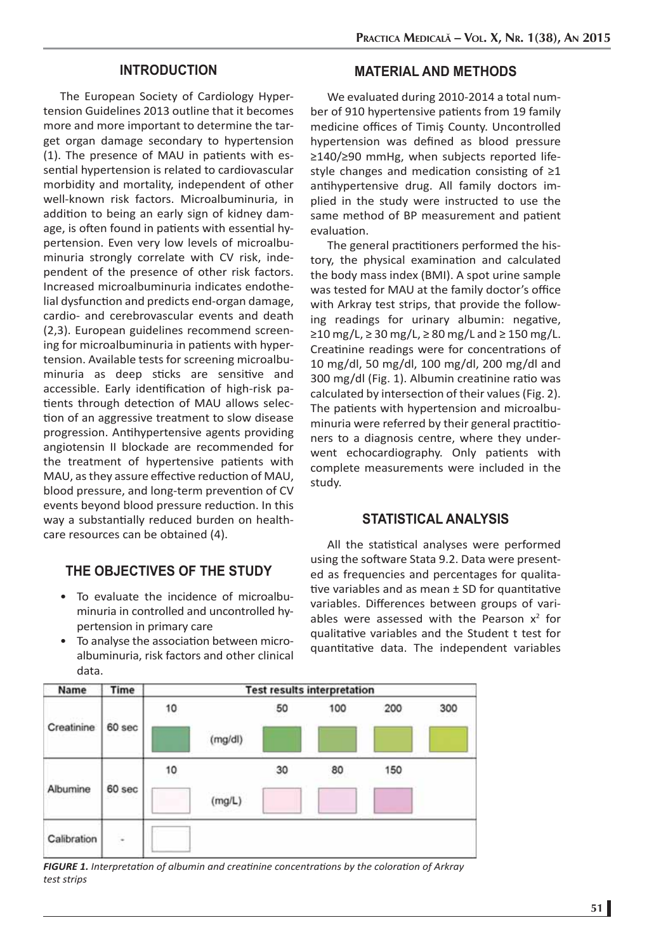### **INTRODUCTION**

The European Society of Cardiology Hypertension Guidelines 2013 outline that it becomes more and more important to determine the target organ damage secondary to hypertension (1). The presence of MAU in patients with essential hypertension is related to cardiovascular morbidity and mortality, independent of other well-known risk factors. Microalbuminuria, in addition to being an early sign of kidney damage, is often found in patients with essential hypertension. Even very low levels of microalbuminuria strongly correlate with CV risk, inde pendent of the presence of other risk factors. Increased microalbuminuria indicates endothelial dysfunction and predicts end-organ damage, cardio- and cerebrovascular events and death (2,3). European guidelines recommend screening for microalbuminuria in patients with hypertension. Available tests for screening microalbuminuria as deep sticks are sensitive and accessible. Early identification of high-risk patients through detection of MAU allows selection of an aggressive treatment to slow disease progression. Antihypertensive agents providing angiotensin II blockade are recommended for the treatment of hypertensive patients with MAU, as they assure effective reduction of MAU, blood pressure, and long-term prevention of CV events beyond blood pressure reduction. In this way a substantially reduced burden on healthcare resources can be obtained (4).

## **THE OBJECTIVES OF THE STUDY**

- To evaluate the incidence of microalbuminuria in controlled and uncontrolled hypertension in primary care
- To analyse the association between microalbuminuria, risk factors and other clinical data.

#### **MATERIAL AND METHODS**

We evaluated during 2010-2014 a total number of 910 hypertensive patients from 19 family medicine offices of Timiş County. Uncontrolled hypertension was defined as blood pressure ≥140/≥90 mmHg, when subjects reported lifestyle changes and medication consisting of  $\geq 1$ antihypertensive drug. All family doctors implied in the study were instructed to use the same method of BP measurement and patient evaluation.

The general practitioners performed the history, the physical examination and calculated the body mass index (BMI). A spot urine sample was tested for MAU at the family doctor's office with Arkray test strips, that provide the following readings for urinary albumin: negative, ≥10 mg/L, ≥ 30 mg/L, ≥ 80 mg/L and ≥ 150 mg/L. Creatinine readings were for concentrations of 10 mg/dl, 50 mg/dl, 100 mg/dl, 200 mg/dl and 300 mg/dl (Fig. 1). Albumin creatinine ratio was calculated by intersection of their values (Fig. 2). The patients with hypertension and microalbuminuria were referred by their general practitioners to a diagnosis centre, where they underwent echocardiography. Only patients with complete measurements were included in the study.

#### **STATISTICAL ANALYSIS**

All the statistical analyses were performed using the software Stata 9.2. Data were presented as frequencies and percentages for qualitative variables and as mean  $\pm$  SD for quantitative variables. Differences between groups of variables were assessed with the Pearson  $x^2$  for qualitative variables and the Student t test for quantitative data. The independent variables



*FIGURE 1. Interpretati on of albumin and creati nine concentrati ons by the colorati on of Arkray test strips*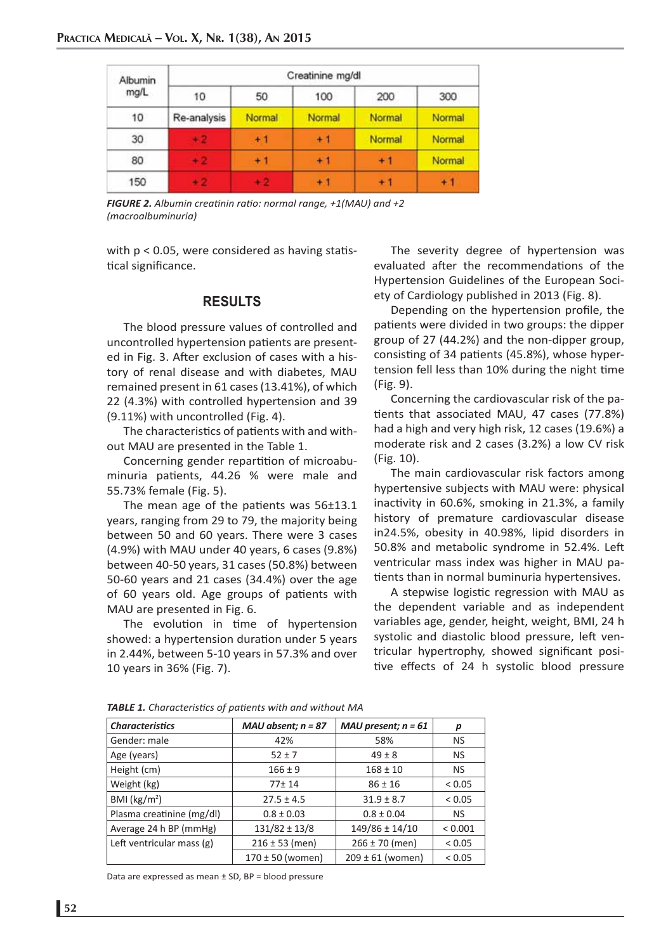| Albumin<br>mg/L | Creatinine mg/dl |        |        |        |        |
|-----------------|------------------|--------|--------|--------|--------|
|                 | 10               | 50     | 100    | 200    | 300    |
| 10              | Re-analysis      | Normal | Normal | Normal | Normal |
| 30              | $+2$             | $+1$   | $+1$   | Normal | Normal |
| 80              | $+2$             | $+1$   | $+1$   | $+1$   | Normal |
| 150             | $+2$             | $+2$   | $+1$   | $+1$   | $+1$   |

*FIGURE 2. Albumin creati nin rati o: normal range, +1(MAU) and +2 (macroalbuminuria)*

with  $p < 0.05$ , were considered as having statistical significance.

### **RESULTS**

The blood pressure values of controlled and uncontrolled hypertension patients are presented in Fig. 3. After exclusion of cases with a history of renal disease and with diabetes, MAU remained present in 61 cases (13.41%), of which 22 (4.3%) with controlled hypertension and 39 (9.11%) with uncontrolled (Fig. 4).

The characteristics of patients with and without MAU are presented in the Table 1.

Concerning gender repartition of microabuminuria patients, 44.26 % were male and 55.73% female (Fig. 5).

The mean age of the patients was  $56±13.1$ years, ranging from 29 to 79, the majority being between 50 and 60 years. There were 3 cases (4.9%) with MAU under 40 years, 6 cases (9.8%) between 40-50 years, 31 cases (50.8%) between 50-60 years and 21 cases (34.4%) over the age of 60 years old. Age groups of patients with MAU are presented in Fig. 6.

The evolution in time of hypertension showed: a hypertension duration under 5 years in 2.44%, between 5-10 years in 57.3% and over 10 years in 36% (Fig. 7).

The severity degree of hypertension was evaluated after the recommendations of the Hypertension Guidelines of the European Society of Cardiology published in 2013 (Fig. 8).

Depending on the hypertension profile, the patients were divided in two groups: the dipper group of 27 (44.2%) and the non-dipper group, consisting of 34 patients (45.8%), whose hypertension fell less than 10% during the night time (Fig. 9).

Concerning the cardiovascular risk of the patients that associated MAU, 47 cases (77.8%) had a high and very high risk, 12 cases (19.6%) a moderate risk and 2 cases (3.2%) a low CV risk (Fig. 10).

The main cardiovascular risk factors among hypertensive subjects with MAU were: physical inactivity in 60.6%, smoking in 21.3%, a family history of premature cardiovascular disease in24.5%, obesity in 40.98%, lipid disorders in 50.8% and metabolic syndrome in 52.4%. Left ventricular mass index was higher in MAU patients than in normal buminuria hypertensives.

A stepwise logistic regression with MAU as the dependent variable and as independent variables age, gender, height, weight, BMI, 24 h systolic and diastolic blood pressure, left ventricular hypertrophy, showed significant positive effects of 24 h systolic blood pressure

| <b>Characteristics</b>      | $MAU$ absent; $n = 87$ | MAU present; $n = 61$ | р         |
|-----------------------------|------------------------|-----------------------|-----------|
| Gender: male                | 42%                    | 58%                   | <b>NS</b> |
| Age (years)                 | $52 + 7$               | $49 \pm 8$            | <b>NS</b> |
| Height (cm)                 | $166 \pm 9$            | $168 \pm 10$          | <b>NS</b> |
| Weight (kg)                 | $77 + 14$              | $86 \pm 16$           | < 0.05    |
| BMI ( $\text{kg/m}^2$ )     | $27.5 \pm 4.5$         | $31.9 \pm 8.7$        | < 0.05    |
| Plasma creatinine (mg/dl)   | $0.8 \pm 0.03$         | $0.8 \pm 0.04$        | <b>NS</b> |
| Average 24 h BP (mmHg)      | $131/82 \pm 13/8$      | $149/86 \pm 14/10$    | < 0.001   |
| Left ventricular mass $(g)$ | $216 \pm 53$ (men)     | $266 \pm 70$ (men)    | < 0.05    |
|                             | $170 \pm 50$ (women)   | $209 \pm 61$ (women)  | < 0.05    |

*TABLE 1. Characteristi cs of pati ents with and without MA*

Data are expressed as mean ± SD, BP = blood pressure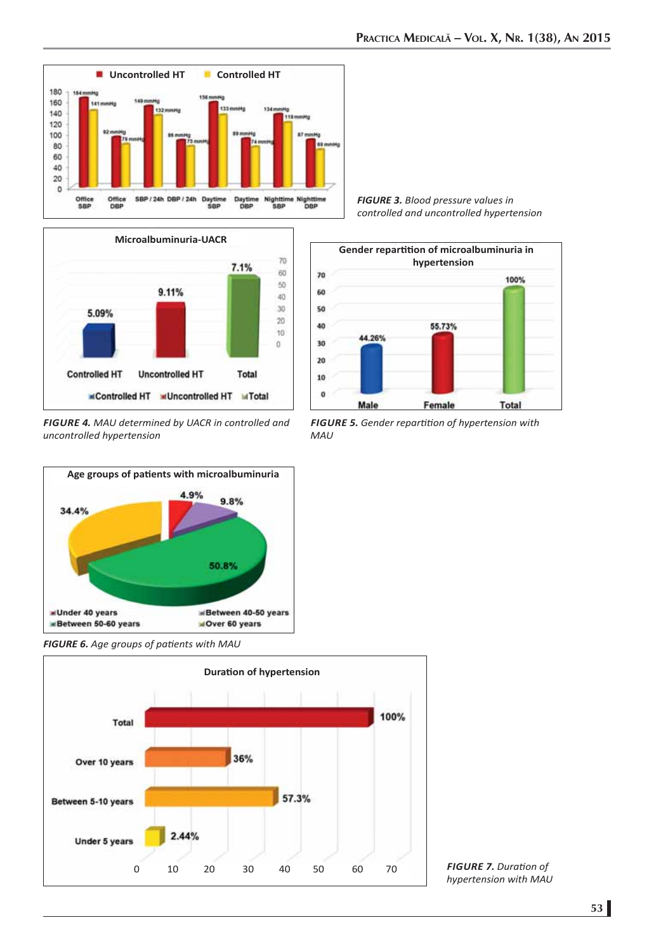



*FIGURE 4. MAU determined by UACR in controlled and uncontrolled hypertension*







*FIGURE 3. Blood pressure values in controlled and uncontrolled hypertension*



**FIGURE 5.** Gender repartition of hypertension with *MAU*

*FIGURE 7. Durati on of hypertension with MAU*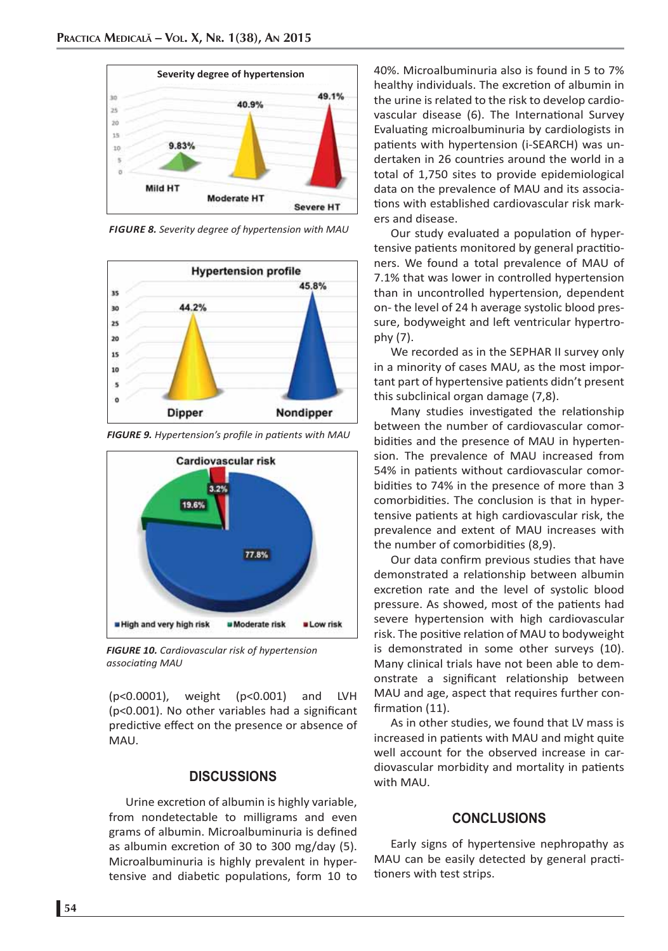

*FIGURE 8. Severity degree of hypertension with MAU*



FIGURE 9. Hypertension's profile in patients with MAU



*FIGURE 10. Cardiovascular risk of hypertension associati ng MAU*

(p<0.0001), weight (p<0.001) and LVH ( $p$ <0.001). No other variables had a significant predictive effect on the presence or absence of MAU.

#### **DISCUSSIONS**

Urine excretion of albumin is highly variable, from nondetectable to milligrams and even grams of albumin. Microalbuminuria is defined as albumin excretion of 30 to 300 mg/day  $(5)$ . Microalbuminuria is highly prevalent in hypertensive and diabetic populations, form 10 to 40%. Microalbuminuria also is found in 5 to 7% healthy individuals. The excretion of albumin in the urine is related to the risk to develop cardiovascular disease (6). The International Survey Evaluating microalbuminuria by cardiologists in patients with hypertension (i-SEARCH) was undertaken in 26 countries around the world in a total of 1,750 sites to provide epidemiological data on the prevalence of MAU and its associations with established cardiovascular risk markers and disease.

Our study evaluated a population of hypertensive patients monitored by general practitioners. We found a total prevalence of MAU of 7.1% that was lower in controlled hypertension than in uncontrolled hypertension, dependent on- the level of 24 h average systolic blood pressure, bodyweight and left ventricular hypertrophy (7).

We recorded as in the SEPHAR II survey only in a minority of cases MAU, as the most important part of hypertensive patients didn't present this subclinical organ damage (7,8).

Many studies investigated the relationship between the number of cardiovascular comorbidities and the presence of MAU in hypertension. The prevalence of MAU increased from 54% in patients without cardiovascular comorbidities to 74% in the presence of more than 3 comorbidities. The conclusion is that in hypertensive patients at high cardiovascular risk, the prevalence and extent of MAU increases with the number of comorbidities (8,9).

Our data confirm previous studies that have demonstrated a relationship between albumin excretion rate and the level of systolic blood pressure. As showed, most of the patients had severe hypertension with high cardiovascular risk. The positive relation of MAU to bodyweight is demonstrated in some other surveys (10). Many clinical trials have not been able to demonstrate a significant relationship between MAU and age, aspect that requires further confirmation (11).

As in other studies, we found that LV mass is increased in patients with MAU and might quite well account for the observed increase in cardiovascular morbidity and mortality in patients with MAU.

#### **CONCLUSIONS**

Early signs of hypertensive nephropathy as MAU can be easily detected by general practitioners with test strips.